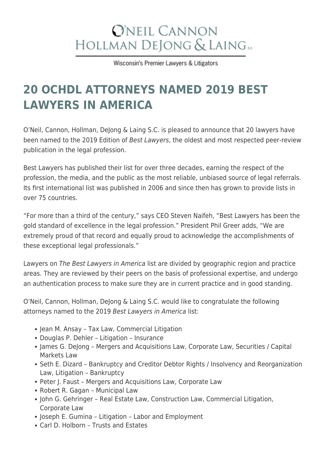## **O'NEIL CANNON** HOLLMAN DEJONG & LAING SC

Wisconsin's Premier Lawyers & Litigators

## **[20 OCHDL ATTORNEYS NAMED 2019 BEST](https://www.wilaw.com/20-oneil-cannon-hollman-dejong-laing-s-c-attorneys-named-2019-best-lawyers-america/) [LAWYERS IN AMERICA](https://www.wilaw.com/20-oneil-cannon-hollman-dejong-laing-s-c-attorneys-named-2019-best-lawyers-america/)**

O'Neil, Cannon, Hollman, DeJong & Laing S.C. is pleased to announce that 20 lawyers have been named to the 2019 Edition of Best Lawyers, the oldest and most respected peer-review publication in the legal profession.

Best Lawyers has published their list for over three decades, earning the respect of the profession, the media, and the public as the most reliable, unbiased source of legal referrals. Its first international list was published in 2006 and since then has grown to provide lists in over 75 countries.

"For more than a third of the century," says CEO Steven Naifeh, "Best Lawyers has been the gold standard of excellence in the legal profession." President Phil Greer adds, "We are extremely proud of that record and equally proud to acknowledge the accomplishments of these exceptional legal professionals."

Lawyers on The Best Lawyers in America list are divided by geographic region and practice areas. They are reviewed by their peers on the basis of professional expertise, and undergo an authentication process to make sure they are in current practice and in good standing.

O'Neil, Cannon, Hollman, DeJong & Laing S.C. would like to congratulate the following attorneys named to the 2019 Best Lawyers in America list:

- Jean M. Ansay Tax Law, Commercial Litigation
- Douglas P. Dehler Litigation Insurance
- James G. Delong Mergers and Acquisitions Law, Corporate Law, Securities / Capital Markets Law
- Seth E. Dizard Bankruptcy and Creditor Debtor Rights / Insolvency and Reorganization Law, Litigation – Bankruptcy
- Peter J. Faust Mergers and Acquisitions Law, Corporate Law
- Robert R. Gagan Municipal Law
- John G. Gehringer Real Estate Law, Construction Law, Commercial Litigation, Corporate Law
- Joseph E. Gumina Litigation Labor and Employment
- Carl D. Holborn Trusts and Estates